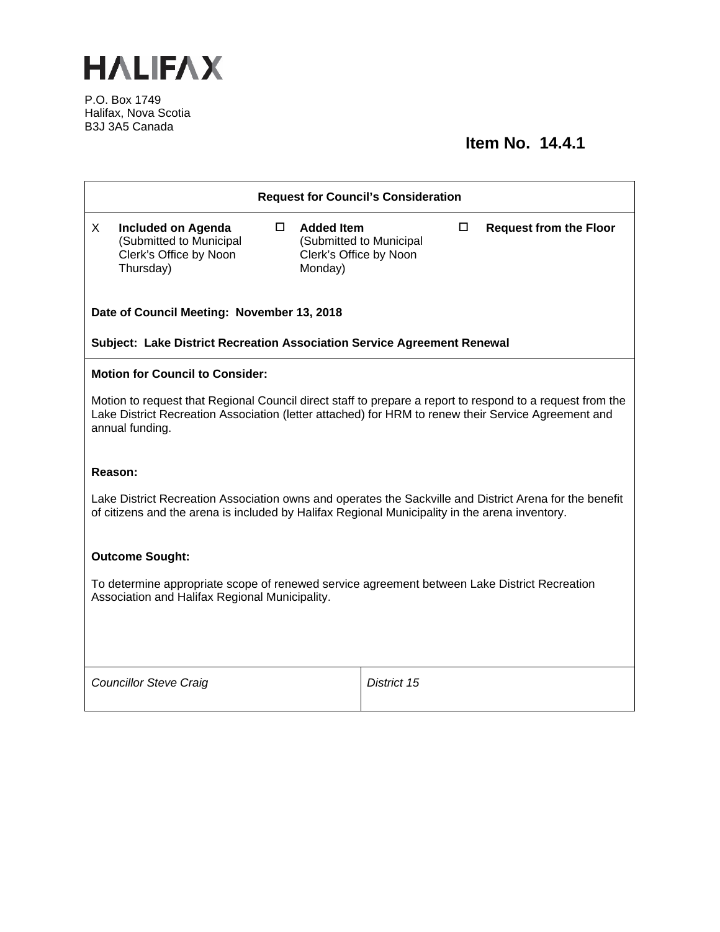

P.O. Box 1749 Halifax, Nova Scotia B3J 3A5 Canada

## **Item No. 14.4.1**

| <b>Request for Council's Consideration</b>                                                                                                                                                                                          |                                                                                             |                                                        |                         |   |                               |
|-------------------------------------------------------------------------------------------------------------------------------------------------------------------------------------------------------------------------------------|---------------------------------------------------------------------------------------------|--------------------------------------------------------|-------------------------|---|-------------------------------|
| X                                                                                                                                                                                                                                   | <b>Included on Agenda</b><br>(Submitted to Municipal<br>Clerk's Office by Noon<br>Thursday) | $\Box$ Added Item<br>Clerk's Office by Noon<br>Monday) | (Submitted to Municipal | □ | <b>Request from the Floor</b> |
| Date of Council Meeting: November 13, 2018                                                                                                                                                                                          |                                                                                             |                                                        |                         |   |                               |
| Subject: Lake District Recreation Association Service Agreement Renewal                                                                                                                                                             |                                                                                             |                                                        |                         |   |                               |
| <b>Motion for Council to Consider:</b>                                                                                                                                                                                              |                                                                                             |                                                        |                         |   |                               |
| Motion to request that Regional Council direct staff to prepare a report to respond to a request from the<br>Lake District Recreation Association (letter attached) for HRM to renew their Service Agreement and<br>annual funding. |                                                                                             |                                                        |                         |   |                               |
| Reason:                                                                                                                                                                                                                             |                                                                                             |                                                        |                         |   |                               |
| Lake District Recreation Association owns and operates the Sackville and District Arena for the benefit<br>of citizens and the arena is included by Halifax Regional Municipality in the arena inventory.                           |                                                                                             |                                                        |                         |   |                               |
| <b>Outcome Sought:</b>                                                                                                                                                                                                              |                                                                                             |                                                        |                         |   |                               |
| To determine appropriate scope of renewed service agreement between Lake District Recreation<br>Association and Halifax Regional Municipality.                                                                                      |                                                                                             |                                                        |                         |   |                               |
|                                                                                                                                                                                                                                     |                                                                                             |                                                        |                         |   |                               |
|                                                                                                                                                                                                                                     | <b>Councillor Steve Craig</b>                                                               |                                                        | District 15             |   |                               |